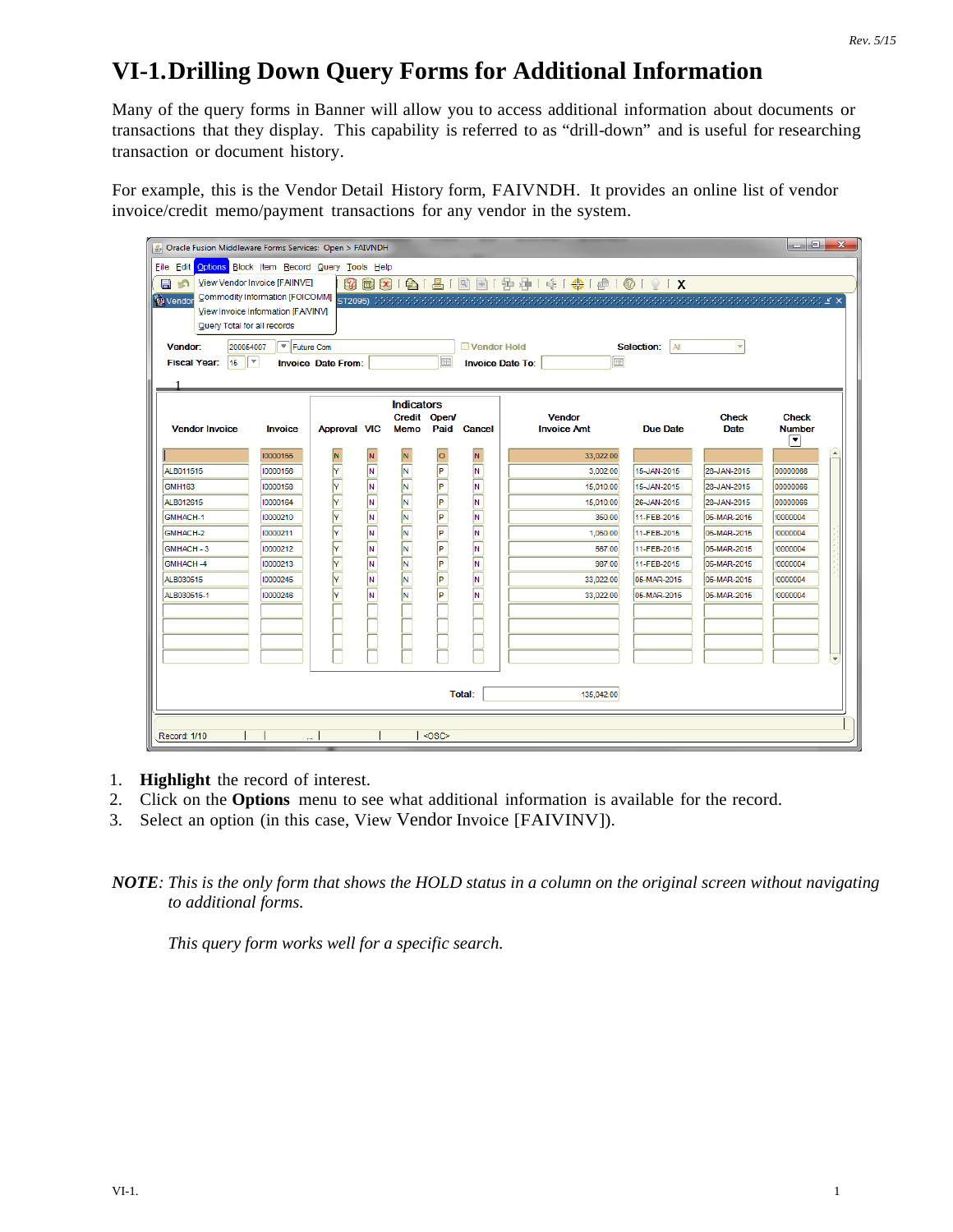## **VI-1.Drilling Down Query Forms for Additional Information**

Many of the query forms in Banner will allow you to access additional information about documents or transactions that they display. This capability is referred to as "drill-down" and is useful for researching transaction or document history.

For example, this is the Vendor Detail History form, FAIVNDH. It provides an online list of vendor invoice/credit memo/payment transactions for any vendor in the system.

| $ - 0 $<br>$\mathbf{x}$<br>△ Oracle Fusion Middleware Forms Services: Open > FAIVNDH             |                                            |                           |   |                                   |      |             |                              |                  |              |               |  |
|--------------------------------------------------------------------------------------------------|--------------------------------------------|---------------------------|---|-----------------------------------|------|-------------|------------------------------|------------------|--------------|---------------|--|
| File Edit                                                                                        | Options Block Item Record Query Tools Help |                           |   |                                   |      |             |                              |                  |              |               |  |
| 3 8 8 8 1 8 1 8 1 8 3 1 9 3 4 1 4 1 9 1 8 1 8 1 8 1 8 1 8<br>View Vendor Invoice [FAIINVE]<br>日の |                                            |                           |   |                                   |      |             |                              |                  |              |               |  |
| Vendor                                                                                           |                                            |                           |   |                                   |      |             |                              |                  |              |               |  |
| View Invoice Information [FAIVINV]                                                               |                                            |                           |   |                                   |      |             |                              |                  |              |               |  |
| Query Total for all records                                                                      |                                            |                           |   |                                   |      |             |                              |                  |              |               |  |
| 200054007<br>Vendor:                                                                             | $\sqrt{\frac{1}{2}}$ Future Com            |                           |   |                                   |      | Vendor Hold |                              | Selection:<br> A |              |               |  |
| ⊩<br>15 <sub>15</sub><br><b>Fiscal Year:</b>                                                     |                                            | <b>Invoice Date From:</b> |   |                                   | 匾    |             | 圃<br><b>Invoice Date To:</b> |                  |              |               |  |
|                                                                                                  |                                            |                           |   |                                   |      |             |                              |                  |              |               |  |
|                                                                                                  |                                            |                           |   |                                   |      |             |                              |                  |              |               |  |
|                                                                                                  |                                            |                           |   | <b>Indicators</b><br>Credit Open/ |      |             | <b>Vendor</b>                |                  | <b>Check</b> | <b>Check</b>  |  |
| <b>Vendor Invoice</b>                                                                            | <b>Invoice</b>                             | <b>Approval VIC</b>       |   | Memo                              | Paid | Cancel      | <b>Invoice Amt</b>           | <b>Due Date</b>  | <b>Date</b>  | <b>Number</b> |  |
|                                                                                                  |                                            |                           |   |                                   |      |             |                              |                  |              | ◥             |  |
|                                                                                                  | 10000155                                   | N                         |   |                                   | o    | N           | 33,022.00                    |                  |              |               |  |
| ALB011515                                                                                        | 10000156                                   | Y                         | N | IN.                               | P    | IN.         | 3,002.00                     | 15-JAN-2015      | 28-JAN-2015  | 00000066      |  |
| GMH <sub>163</sub>                                                                               | 10000158                                   | $\overline{\overline{Y}}$ | N | N                                 | P    | M,          | 15,010.00                    | 15-JAN-2015      | 28-JAN-2015  | 00000066      |  |
| ALB012615                                                                                        | 10000164                                   | $\overline{\overline{Y}}$ | N | N                                 | P    | M,          | 15.010.00                    | 26-JAN-2015      | 28-JAN-2015  | 00000066      |  |
| <b>GMHACH-1</b>                                                                                  | 10000210                                   | $\overline{Y}$            | N | N                                 | P    | N           | 350.00                       | 11-FEB-2015      | 05-MAR-2015  | !0000004      |  |
| GMHACH-2                                                                                         | 10000211                                   | .<br>Y                    | N | N                                 | P    | N,          | 1,050.00                     | 11-FEB-2015      | 05-MAR-2015  | !0000004      |  |
| GMHACH - 3                                                                                       | 10000212                                   | $\frac{1}{\sqrt{2}}$      | N | N                                 | P    | N,          | 567.00                       | 11-FEB-2015      | 05-MAR-2015  | !0000004      |  |
| <b>GMHACH-4</b>                                                                                  | 10000213                                   |                           | N | N                                 | ╔    | M.          | 987.00                       | 11-FEB-2015      | 05-MAR-2015  | !0000004      |  |
| ALB030515                                                                                        | 10000245                                   | $\overline{Y}$            | N | N                                 | P    | M.          | 33,022.00                    | 05-MAR-2015      | 05-MAR-2015  | !0000004      |  |
| ALB030515-1                                                                                      | 10000246                                   | ⊽                         | N | N                                 | ╔    | N           | 33,022.00                    | 05-MAR-2015      | 05-MAR-2015  | !0000004      |  |
|                                                                                                  |                                            |                           |   |                                   |      |             |                              |                  |              |               |  |
|                                                                                                  |                                            |                           |   |                                   |      |             |                              |                  |              |               |  |
|                                                                                                  |                                            |                           |   |                                   |      |             |                              |                  |              |               |  |
|                                                                                                  |                                            |                           |   |                                   |      |             |                              |                  |              |               |  |
|                                                                                                  |                                            |                           |   |                                   |      |             |                              |                  |              |               |  |
| <b>Total:</b><br>135,042.00                                                                      |                                            |                           |   |                                   |      |             |                              |                  |              |               |  |
|                                                                                                  |                                            |                           |   |                                   |      |             |                              |                  |              |               |  |
|                                                                                                  |                                            |                           |   |                                   |      |             |                              |                  |              |               |  |
| <osc><br/><b>Record: 1/10</b></osc>                                                              |                                            |                           |   |                                   |      |             |                              |                  |              |               |  |

- 1. **Highlight** the record of interest.
- 2. Click on the **Options** menu to see what additional information is available for the record.
- 3. Select an option (in this case, View Vendor Invoice [FAIVINV]).

*NOTE: This is the only form that shows the HOLD status in a column on the original screen without navigating to additional forms.*

*This query form works well for a specific search.*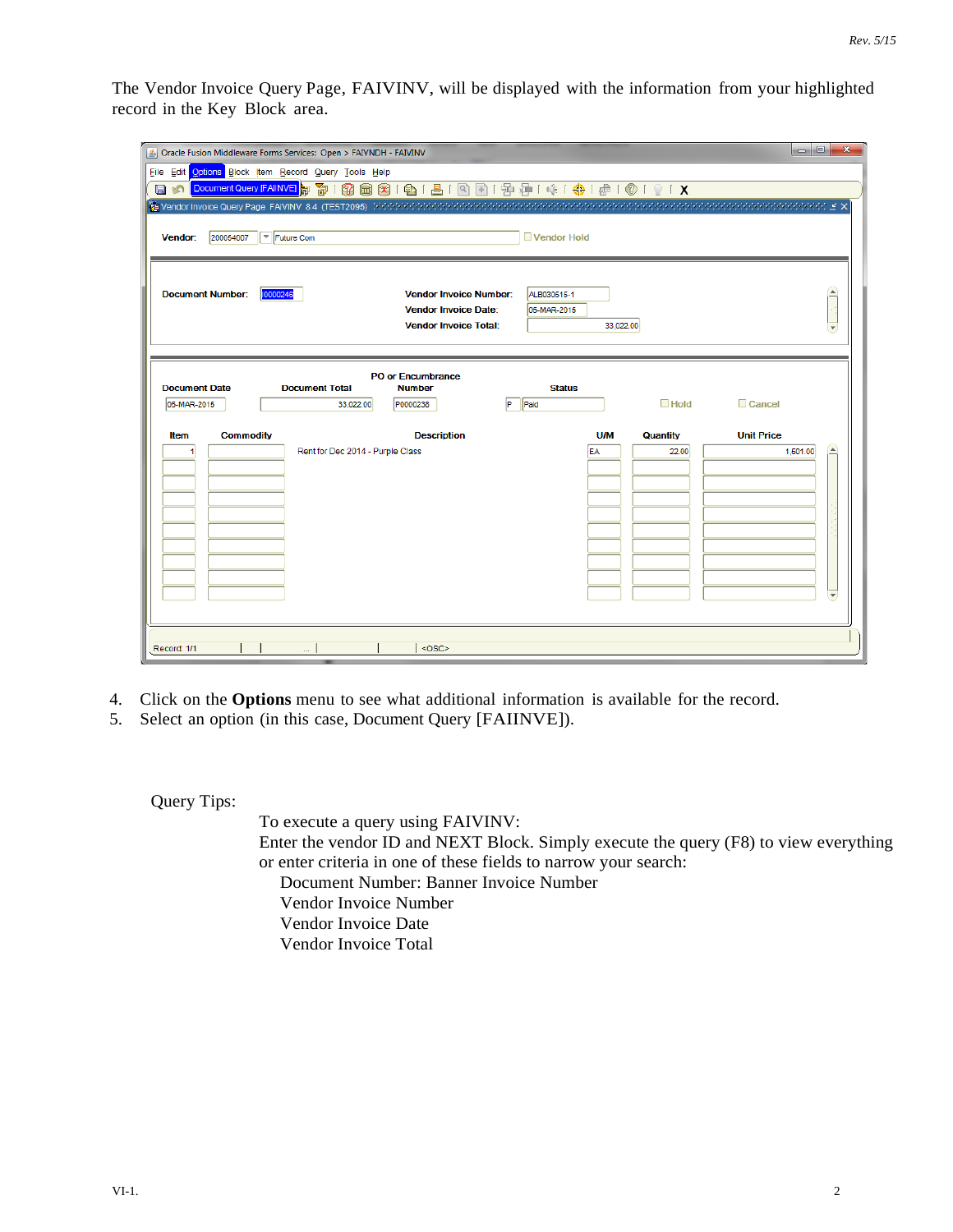The Vendor Invoice Query Page, FAIVINV, will be displayed with the information from your highlighted record in the Key Block area.

| △ Oracle Fusion Middleware Forms Services: Open > FAIVNDH - FAIVINV  | $\vert$ o $\vert$ 0 $\vert$<br>$\mathbf{x}$       |
|----------------------------------------------------------------------|---------------------------------------------------|
| File Edit Options Block Item Record Query Tools Help                 |                                                   |
| $\blacksquare$<br>$\circ$                                            |                                                   |
|                                                                      |                                                   |
|                                                                      |                                                   |
| Future Com<br>200054007<br>Vendor:                                   | Vendor Hold                                       |
|                                                                      |                                                   |
|                                                                      |                                                   |
| <b>Document Number:</b><br>10000246<br><b>Vendor Invoice Number:</b> | $\left  \rule{0cm}{0.4cm} \right.$<br>ALB030515-1 |
| <b>Vendor Invoice Date:</b>                                          | 05-MAR-2015                                       |
| <b>Vendor Invoice Total:</b>                                         | 33,022.00                                         |
|                                                                      |                                                   |
| <b>PO or Encumbrance</b>                                             |                                                   |
| <b>Document Date</b><br><b>Document Total</b><br><b>Number</b>       | <b>Status</b>                                     |
| 05-MAR-2015<br>P0000238<br>33,022.00                                 | $\Box$ Hold<br>Cancel<br><b>IP</b><br>Paid        |
| <b>Commodity</b><br><b>Description</b><br>Item                       | <b>Unit Price</b><br><b>U/M</b><br>Quantity       |
| Rent for Dec 2014 - Purple Class                                     | ≃<br>EA<br>1,501.00<br>22.00                      |
|                                                                      |                                                   |
|                                                                      |                                                   |
|                                                                      |                                                   |
|                                                                      |                                                   |
|                                                                      |                                                   |
|                                                                      |                                                   |
|                                                                      |                                                   |
|                                                                      | lw.                                               |
|                                                                      |                                                   |
|                                                                      |                                                   |
| $<$ OSC><br>Record: 1/1<br>                                          |                                                   |

- 4. Click on the **Options** menu to see what additional information is available for the record.
- 5. Select an option (in this case, Document Query [FAIINVE]).

Query Tips:

To execute a query using FAIVINV: Enter the vendor ID and NEXT Block. Simply execute the query (F8) to view everything or enter criteria in one of these fields to narrow your search: Document Number: Banner Invoice Number Vendor Invoice Number Vendor Invoice Date Vendor Invoice Total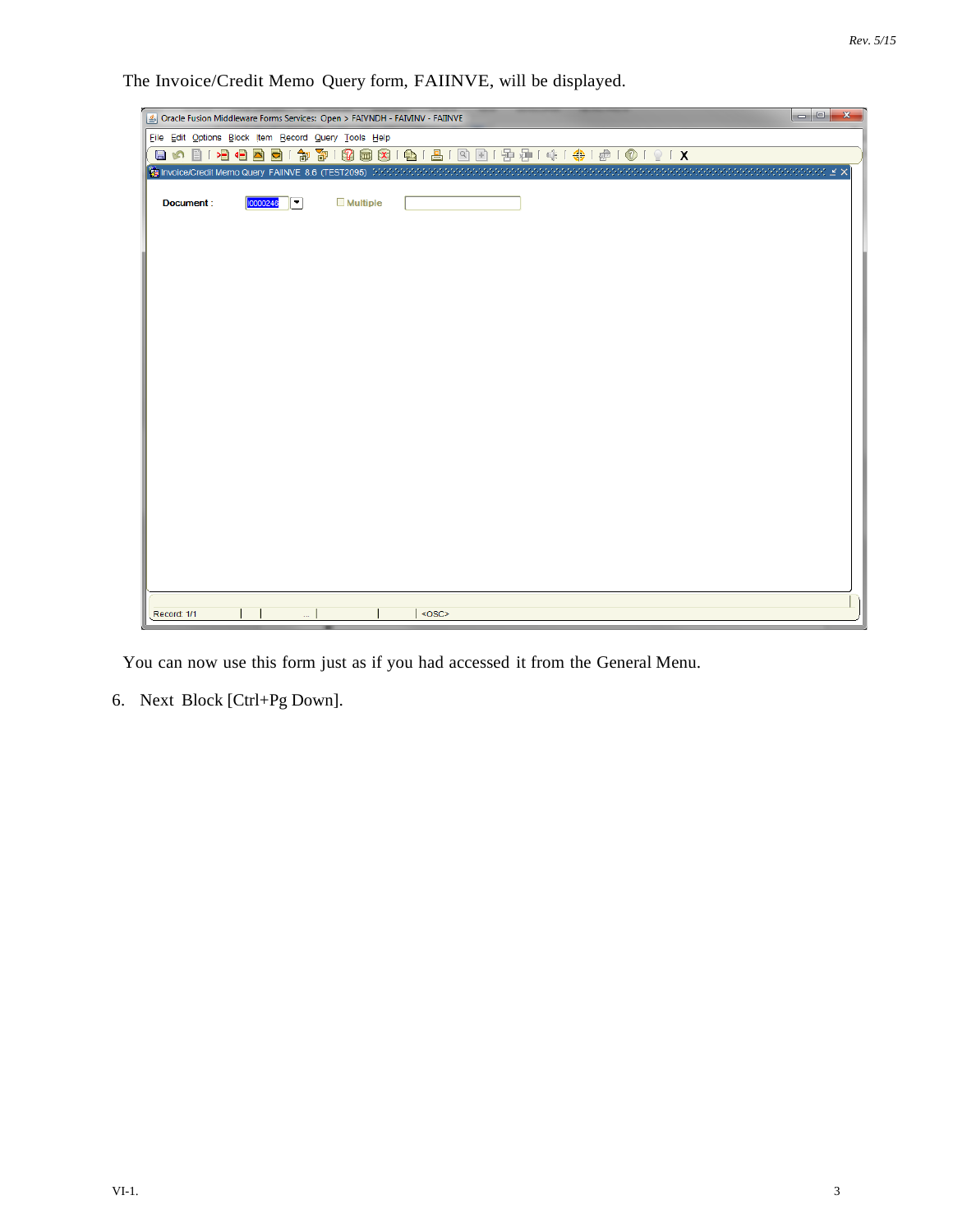The Invoice/Credit Memo Query form, FAIINVE, will be displayed.

|                                                                             |          |                              |                 |                                           | $   $<br>$\mathbf{x}$ |
|-----------------------------------------------------------------------------|----------|------------------------------|-----------------|-------------------------------------------|-----------------------|
| Oracle Fusion Middleware Forms Services: Open > FAIVNDH - FAIVINV - FAIINVE |          |                              |                 |                                           |                       |
| File Edit Options Block Item Record Query Tools Help                        |          |                              |                 |                                           |                       |
|                                                                             |          |                              |                 | 日の日1日日国国1家百1日日1日1日1日1日1日 1月1日日日1日1日1日1日1日 |                       |
|                                                                             |          |                              |                 |                                           |                       |
| Document:                                                                   | 10000246 | $\mathbb{F}$                 | <b>Multiple</b> |                                           |                       |
|                                                                             |          |                              |                 |                                           |                       |
|                                                                             |          |                              |                 |                                           |                       |
|                                                                             |          |                              |                 |                                           |                       |
|                                                                             |          |                              |                 |                                           |                       |
|                                                                             |          |                              |                 |                                           |                       |
|                                                                             |          |                              |                 |                                           |                       |
|                                                                             |          |                              |                 |                                           |                       |
|                                                                             |          |                              |                 |                                           |                       |
|                                                                             |          |                              |                 |                                           |                       |
|                                                                             |          |                              |                 |                                           |                       |
|                                                                             |          |                              |                 |                                           |                       |
|                                                                             |          |                              |                 |                                           |                       |
|                                                                             |          |                              |                 |                                           |                       |
|                                                                             |          |                              |                 |                                           |                       |
|                                                                             |          |                              |                 |                                           |                       |
|                                                                             |          |                              |                 |                                           |                       |
|                                                                             |          |                              |                 |                                           |                       |
|                                                                             |          |                              |                 |                                           |                       |
|                                                                             |          |                              |                 |                                           |                       |
|                                                                             |          |                              |                 |                                           |                       |
|                                                                             |          |                              |                 |                                           |                       |
|                                                                             |          |                              |                 |                                           |                       |
|                                                                             |          |                              |                 |                                           |                       |
| Record: 1/1                                                                 |          |                              |                 | $<$ OSC>                                  |                       |
|                                                                             |          | $\mathcal{L}_{\text{max}}$ . |                 |                                           |                       |

You can now use this form just as if you had accessed it from the General Menu.

6. Next Block [Ctrl+Pg Down].